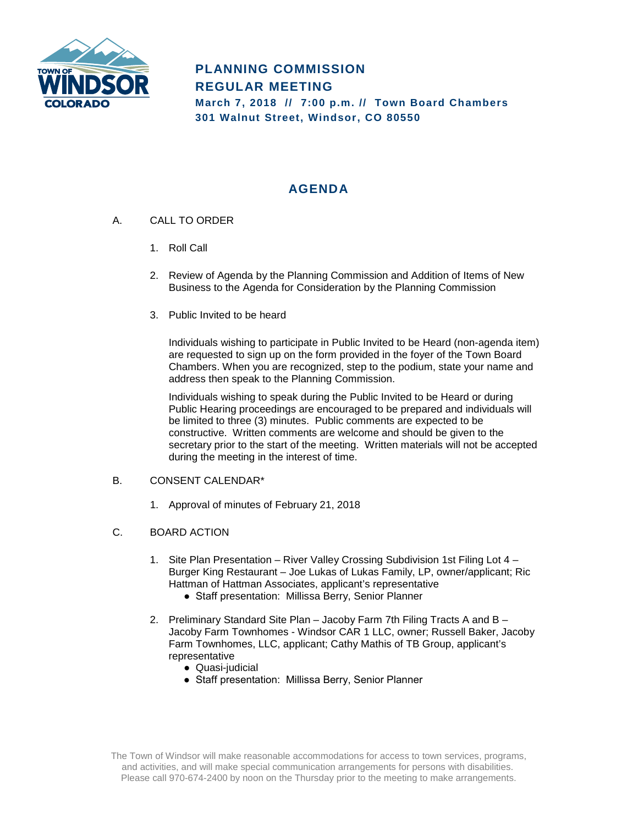

## **PLANNING COMMISSION REGULAR MEETING March 7, 2018 // 7:00 p.m. // Town Board Chambers 301 Walnut Street, Windsor, CO 80550**

# **AGENDA**

- A. CALL TO ORDER
	- 1. Roll Call
	- 2. Review of Agenda by the Planning Commission and Addition of Items of New Business to the Agenda for Consideration by the Planning Commission
	- 3. Public Invited to be heard

Individuals wishing to participate in Public Invited to be Heard (non-agenda item) are requested to sign up on the form provided in the foyer of the Town Board Chambers. When you are recognized, step to the podium, state your name and address then speak to the Planning Commission.

Individuals wishing to speak during the Public Invited to be Heard or during Public Hearing proceedings are encouraged to be prepared and individuals will be limited to three (3) minutes. Public comments are expected to be constructive. Written comments are welcome and should be given to the secretary prior to the start of the meeting. Written materials will not be accepted during the meeting in the interest of time.

### B. CONSENT CALENDAR\*

1. Approval of minutes of February 21, 2018

#### C. BOARD ACTION

- 1. Site Plan Presentation River Valley Crossing Subdivision 1st Filing Lot 4 Burger King Restaurant – Joe Lukas of Lukas Family, LP, owner/applicant; Ric Hattman of Hattman Associates, applicant's representative
	- Staff presentation: Millissa Berry, Senior Planner
- 2. Preliminary Standard Site Plan Jacoby Farm 7th Filing Tracts A and B Jacoby Farm Townhomes - Windsor CAR 1 LLC, owner; Russell Baker, Jacoby Farm Townhomes, LLC, applicant; Cathy Mathis of TB Group, applicant's representative
	- Quasi-judicial
	- Staff presentation: Millissa Berry, Senior Planner

The Town of Windsor will make reasonable accommodations for access to town services, programs, and activities, and will make special communication arrangements for persons with disabilities. Please call 970-674-2400 by noon on the Thursday prior to the meeting to make arrangements.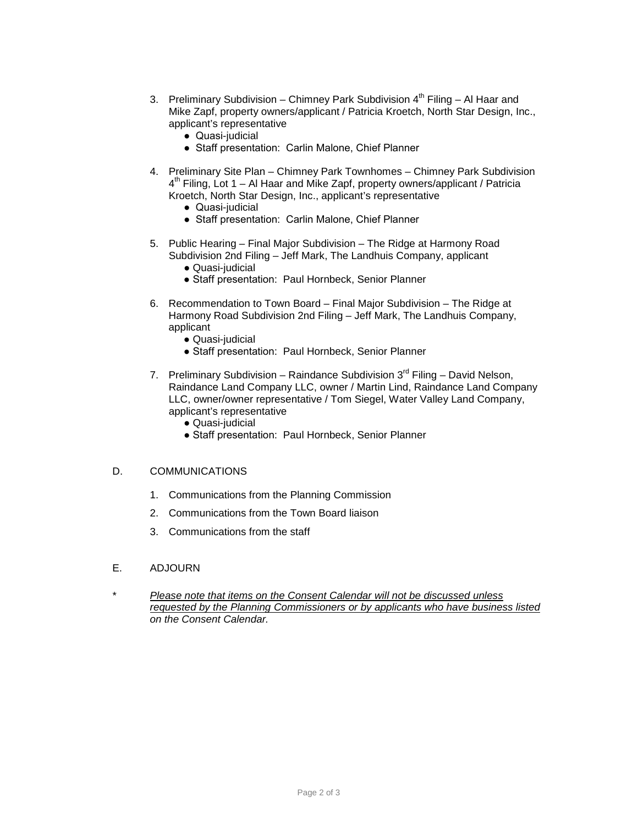- 3. Preliminary Subdivision Chimney Park Subdivision  $4<sup>th</sup>$  Filing Al Haar and Mike Zapf, property owners/applicant / Patricia Kroetch, North Star Design, Inc., applicant's representative
	- Quasi-judicial
	- Staff presentation: Carlin Malone, Chief Planner
- 4. Preliminary Site Plan Chimney Park Townhomes Chimney Park Subdivision  $4<sup>th</sup>$  Filing, Lot 1 – Al Haar and Mike Zapf, property owners/applicant / Patricia Kroetch, North Star Design, Inc., applicant's representative
	- Quasi-judicial
	- Staff presentation: Carlin Malone, Chief Planner
- 5. Public Hearing Final Major Subdivision The Ridge at Harmony Road Subdivision 2nd Filing – Jeff Mark, The Landhuis Company, applicant
	- Quasi-judicial
	- Staff presentation: Paul Hornbeck, Senior Planner
- 6. Recommendation to Town Board Final Major Subdivision The Ridge at Harmony Road Subdivision 2nd Filing – Jeff Mark, The Landhuis Company, applicant
	- Quasi-judicial
	- Staff presentation: Paul Hornbeck, Senior Planner
- 7. Preliminary Subdivision Raindance Subdivision  $3^{rd}$  Filing David Nelson, Raindance Land Company LLC, owner / Martin Lind, Raindance Land Company LLC, owner/owner representative / Tom Siegel, Water Valley Land Company, applicant's representative
	- Quasi-judicial
	- Staff presentation: Paul Hornbeck, Senior Planner

#### D. COMMUNICATIONS

- 1. Communications from the Planning Commission
- 2. Communications from the Town Board liaison
- 3. Communications from the staff
- E. ADJOURN
- \* *Please note that items on the Consent Calendar will not be discussed unless requested by the Planning Commissioners or by applicants who have business listed on the Consent Calendar.*